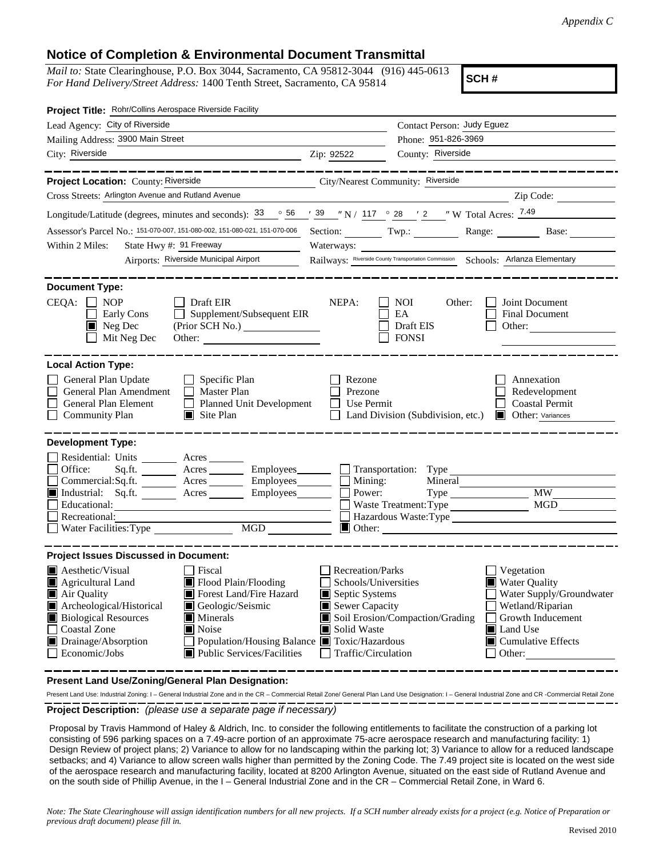## **Notice of Completion & Environmental Document Transmittal**

*Mail to:* State Clearinghouse, P.O. Box 3044, Sacramento, CA 95812-3044 (916) 445-0613 *For Hand Delivery/Street Address:* 1400 Tenth Street, Sacramento, CA 95814

**SCH #**

| Project Title: Rohr/Collins Aerospace Riverside Facility                                                                                                                                                            |                                                                                                |                                                             |                                                              |
|---------------------------------------------------------------------------------------------------------------------------------------------------------------------------------------------------------------------|------------------------------------------------------------------------------------------------|-------------------------------------------------------------|--------------------------------------------------------------|
| Lead Agency: City of Riverside                                                                                                                                                                                      | Contact Person: Judy Eguez                                                                     |                                                             |                                                              |
| Mailing Address: 3900 Main Street                                                                                                                                                                                   |                                                                                                | Phone: 951-826-3969                                         |                                                              |
| City: Riverside<br>$\overline{2ip}$ : 92522                                                                                                                                                                         |                                                                                                | County: Riverside                                           |                                                              |
| Project Location: County: Riverside<br>City/Nearest Community: Riverside<br>Cross Streets: Arlington Avenue and Rutland Avenue                                                                                      |                                                                                                |                                                             | Zip Code:                                                    |
| Longitude/Latitude (degrees, minutes and seconds): $\frac{33}{56}$ $\frac{56}{56}$ $\frac{739}{39}$ $\frac{78}{117}$ $\frac{117}{9}$ $\frac{28}{2}$ $\frac{72}{2}$ $\frac{7}{2}$ W Total Acres: $\frac{7.49}{2}$    |                                                                                                |                                                             |                                                              |
|                                                                                                                                                                                                                     |                                                                                                |                                                             |                                                              |
| Assessor's Parcel No.: 151-070-007, 151-080-002, 151-080-021, 151-070-006                                                                                                                                           |                                                                                                |                                                             | Section: Twp.: Range: Base:                                  |
| State Hwy #: 91 Freeway<br>Within 2 Miles:<br>Airports: Riverside Municipal Airport                                                                                                                                 | Waterways:<br>Railways: Riverside County Transportation Commission Schools: Arlanza Elementary |                                                             |                                                              |
|                                                                                                                                                                                                                     |                                                                                                |                                                             |                                                              |
| <b>Document Type:</b>                                                                                                                                                                                               |                                                                                                |                                                             |                                                              |
| CEQA:<br>$\Box$ NOP<br>$\Box$ Draft EIR<br>$\Box$ Early Cons<br>$\Box$ Supplement/Subsequent EIR<br>$\blacksquare$ Neg Dec<br>$\Box$ Mit Neg Dec<br>Other:                                                          | NEPA:                                                                                          | NOI 1<br>Other:<br>EA<br>Draft EIS<br>$\Box$ FONSI          | Joint Document<br><b>Final Document</b><br>Other:            |
| <b>Local Action Type:</b>                                                                                                                                                                                           |                                                                                                |                                                             |                                                              |
| General Plan Update<br>$\Box$ Specific Plan<br>П<br>General Plan Amendment<br>$\Box$ Master Plan<br>General Plan Element<br>Planned Unit Development<br>$\Box$<br><b>Community Plan</b><br>$\blacksquare$ Site Plan | Rezone<br>Prezone<br>Use Permit<br>$\perp$                                                     | Land Division (Subdivision, etc.) <b>I</b> Other: Variances | Annexation<br>Redevelopment<br>Coastal Permit                |
| <b>Development Type:</b><br>Residential: Units ________ Acres _______                                                                                                                                               |                                                                                                |                                                             |                                                              |
| Office:<br>Sq.ft. _________ Acres __________ Employees________ ___ Transportation: Type ______________________                                                                                                      |                                                                                                |                                                             |                                                              |
| $Commercial: \widetilde{\text{Sq}.ft.}$ $\overline{\text{Lipses}}$ Acres $\overline{\text{Imployees}}$ $\Box$ Mining:                                                                                               |                                                                                                | Mineral                                                     |                                                              |
| Industrial: Sq.ft. Acres Employees<br>Educational:                                                                                                                                                                  | Power:                                                                                         |                                                             | Waste Treatment: Type                                        |
| Recreational:                                                                                                                                                                                                       |                                                                                                | Hazardous Waste: Type                                       |                                                              |
| $\Box$                                                                                                                                                                                                              |                                                                                                | $\Box$ Other:                                               |                                                              |
|                                                                                                                                                                                                                     |                                                                                                |                                                             |                                                              |
| <b>Project Issues Discussed in Document:</b>                                                                                                                                                                        |                                                                                                |                                                             |                                                              |
| <b>A</b> esthetic/Visual<br>Fiscal<br>Agricultural Land<br>Flood Plain/Flooding                                                                                                                                     | <b>Recreation/Parks</b><br>Schools/Universities                                                |                                                             | $\Box$ Vegetation<br>Water Quality                           |
| Air Quality<br>Forest Land/Fire Hazard                                                                                                                                                                              | $\blacksquare$ Septic Systems                                                                  |                                                             | Water Supply/Groundwater                                     |
| Archeological/Historical<br>Geologic/Seismic                                                                                                                                                                        | Sewer Capacity                                                                                 |                                                             | Wetland/Riparian                                             |
| <b>Biological Resources</b><br>$\blacksquare$ Minerals                                                                                                                                                              |                                                                                                | Soil Erosion/Compaction/Grading                             | <b>Solution</b> Inducement                                   |
| П<br><b>Coastal Zone</b><br>$\blacksquare$ Noise<br>Population/Housing Balance ■ Toxic/Hazardous<br>Drainage/Absorption                                                                                             | Solid Waste                                                                                    |                                                             | $\blacksquare$ Land Use<br>$\blacksquare$ Cumulative Effects |
| $\Box$ Economic/Jobs<br>$\blacksquare$ Public Services/Facilities                                                                                                                                                   | Traffic/Circulation                                                                            |                                                             | $\Box$ Other:                                                |
|                                                                                                                                                                                                                     |                                                                                                |                                                             |                                                              |

**Present Land Use/Zoning/General Plan Designation:**

**Project Description:** *(please use a separate page if necessary)* Present Land Use: Industrial Zoning: I – General Industrial Zone and in the CR – Commercial Retail Zone/ General Plan Land Use Designation: I – General Industrial Zone and CR -Commercial Retail Zone

 Proposal by Travis Hammond of Haley & Aldrich, Inc. to consider the following entitlements to facilitate the construction of a parking lot consisting of 596 parking spaces on a 7.49-acre portion of an approximate 75-acre aerospace research and manufacturing facility: 1) Design Review of project plans; 2) Variance to allow for no landscaping within the parking lot; 3) Variance to allow for a reduced landscape setbacks; and 4) Variance to allow screen walls higher than permitted by the Zoning Code. The 7.49 project site is located on the west side of the aerospace research and manufacturing facility, located at 8200 Arlington Avenue, situated on the east side of Rutland Avenue and on the south side of Phillip Avenue, in the I – General Industrial Zone and in the CR – Commercial Retail Zone, in Ward 6.

*Note: The State Clearinghouse will assign identification numbers for all new projects. If a SCH number already exists for a project (e.g. Notice of Preparation or previous draft document) please fill in.*